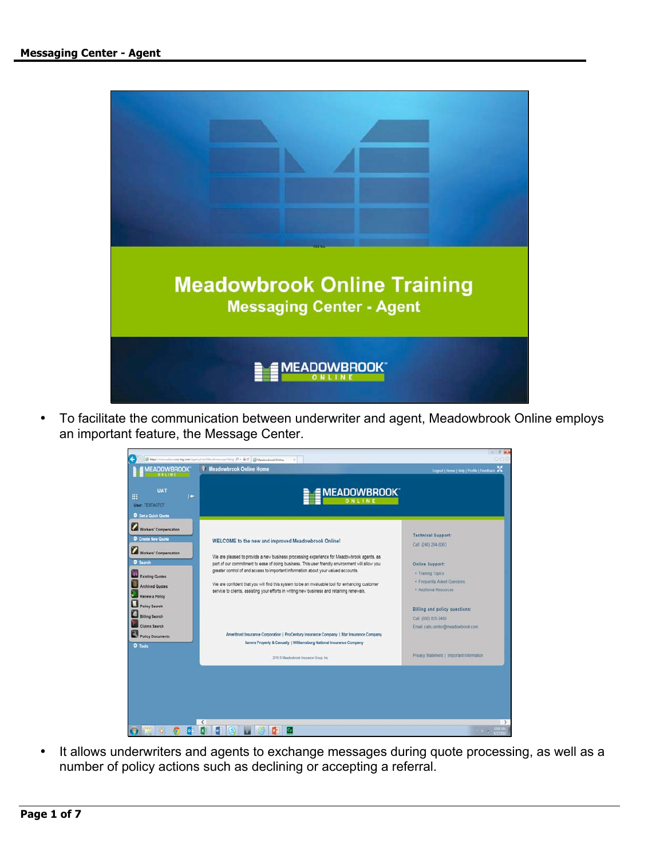

• To facilitate the communication between underwriter and agent, Meadowbrook Online employs an important feature, the Message Center.



• It allows underwriters and agents to exchange messages during quote processing, as well as a number of policy actions such as declining or accepting a referral.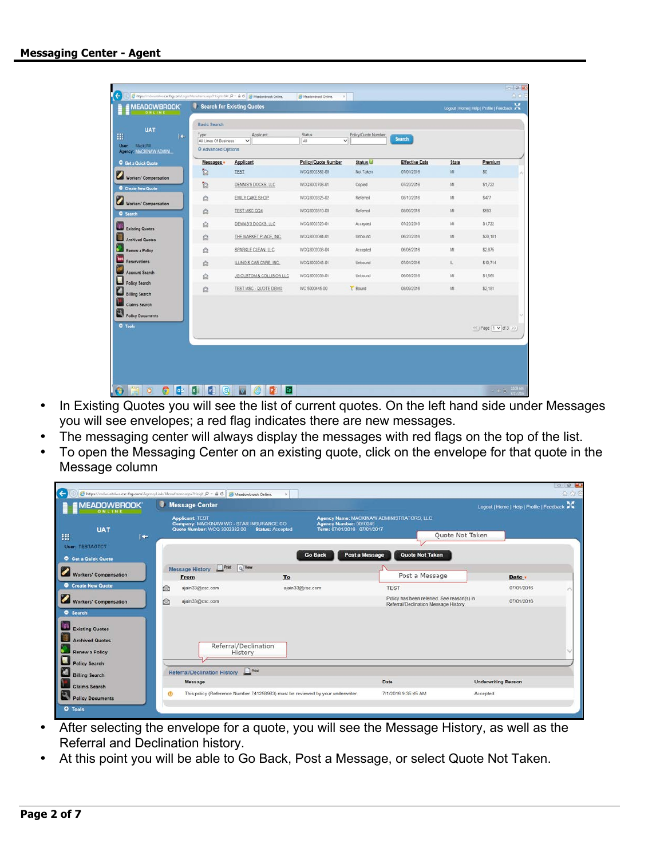| <b>Status:</b><br>Applicant<br>Policy/Quote Number.<br>Type:<br>I÷.<br><b>Search</b><br>All<br>$\checkmark$<br>All Lines Of Business<br>v<br><b>MackUW</b><br>O Advanced Options<br>Agency: MACKINAW ADMINI<br>Status <sup>1</sup><br>Applicant<br>Policy/Quote Number<br><b>Effective Date</b><br>Messages .<br><b>State</b><br>Get a Quick Quote<br>ħ<br>Not Taken<br>07/01/2016<br>M<br>\$0<br><b>TEST</b><br>WCQ3002382-00<br>Workers' Compensation<br>ħ<br>MI<br>\$1,722<br>DENNIS'S DOCKS, LLC<br>WCQ3002703-01<br>07/20/2016<br>Copied<br>Create New Quote<br>M<br>\$477<br>Referred<br>08/10/2016<br>$\Omega$<br>EMILY CAKE SHOP<br>WCQ3002825-02<br>Workers' Compensation<br>$\ddot{\Omega}$<br>Mi<br>\$583<br>TEST MSC QQ4<br>WCQ3002810-00<br>Referred<br>08/09/2018<br>\$1,722<br>$\triangle$<br>WCQ3002526-01<br>07/20/2016<br>M<br>DENNIS'S DOCKS, LLC<br>Accepted<br>Ŕ<br>\$20,101<br>THE MARKET PLACE, INC.<br>WCQ3002044-01<br>Unbound<br>06/20/2016<br>M<br>\$2,875<br>$\Omega$<br>SPARKLE CLEAN, LLC<br>WCQ3002033-04<br>06/05/2016<br>M<br>Accepted<br>IL.<br>\$10,714<br>Ġ<br>ILLINOIS CAR CARE. INC.<br>WCQ3002043-01<br>Unbound<br>07/01/2016<br>Ġ<br>M<br>\$1,565<br>JG CUSTOM & COLLISION LLC<br>WCQ3002039-01<br>Unbound<br>06/09/2016<br>V Bound<br>TEST MSC - QUOTE DEMO<br>WC 5000445-00<br>MI.<br>\$2,181<br>08/09/2016<br>白 | <b>UAT</b>      | <b>Basic Search</b> |  |  |                         |
|------------------------------------------------------------------------------------------------------------------------------------------------------------------------------------------------------------------------------------------------------------------------------------------------------------------------------------------------------------------------------------------------------------------------------------------------------------------------------------------------------------------------------------------------------------------------------------------------------------------------------------------------------------------------------------------------------------------------------------------------------------------------------------------------------------------------------------------------------------------------------------------------------------------------------------------------------------------------------------------------------------------------------------------------------------------------------------------------------------------------------------------------------------------------------------------------------------------------------------------------------------------------------------------------------------------------------------------------------------|-----------------|---------------------|--|--|-------------------------|
|                                                                                                                                                                                                                                                                                                                                                                                                                                                                                                                                                                                                                                                                                                                                                                                                                                                                                                                                                                                                                                                                                                                                                                                                                                                                                                                                                            |                 |                     |  |  |                         |
|                                                                                                                                                                                                                                                                                                                                                                                                                                                                                                                                                                                                                                                                                                                                                                                                                                                                                                                                                                                                                                                                                                                                                                                                                                                                                                                                                            |                 |                     |  |  |                         |
|                                                                                                                                                                                                                                                                                                                                                                                                                                                                                                                                                                                                                                                                                                                                                                                                                                                                                                                                                                                                                                                                                                                                                                                                                                                                                                                                                            |                 |                     |  |  | Premium                 |
|                                                                                                                                                                                                                                                                                                                                                                                                                                                                                                                                                                                                                                                                                                                                                                                                                                                                                                                                                                                                                                                                                                                                                                                                                                                                                                                                                            |                 |                     |  |  |                         |
|                                                                                                                                                                                                                                                                                                                                                                                                                                                                                                                                                                                                                                                                                                                                                                                                                                                                                                                                                                                                                                                                                                                                                                                                                                                                                                                                                            |                 |                     |  |  |                         |
|                                                                                                                                                                                                                                                                                                                                                                                                                                                                                                                                                                                                                                                                                                                                                                                                                                                                                                                                                                                                                                                                                                                                                                                                                                                                                                                                                            |                 |                     |  |  |                         |
| <b>Existing Quotes</b><br><b>Archived Quotes</b><br>Renew a Policy<br><b>Reservations</b><br>Account Search<br>Policy Search<br><b>Billing Search</b>                                                                                                                                                                                                                                                                                                                                                                                                                                                                                                                                                                                                                                                                                                                                                                                                                                                                                                                                                                                                                                                                                                                                                                                                      | <b>O</b> Search |                     |  |  |                         |
|                                                                                                                                                                                                                                                                                                                                                                                                                                                                                                                                                                                                                                                                                                                                                                                                                                                                                                                                                                                                                                                                                                                                                                                                                                                                                                                                                            |                 |                     |  |  |                         |
|                                                                                                                                                                                                                                                                                                                                                                                                                                                                                                                                                                                                                                                                                                                                                                                                                                                                                                                                                                                                                                                                                                                                                                                                                                                                                                                                                            |                 |                     |  |  |                         |
|                                                                                                                                                                                                                                                                                                                                                                                                                                                                                                                                                                                                                                                                                                                                                                                                                                                                                                                                                                                                                                                                                                                                                                                                                                                                                                                                                            |                 |                     |  |  |                         |
|                                                                                                                                                                                                                                                                                                                                                                                                                                                                                                                                                                                                                                                                                                                                                                                                                                                                                                                                                                                                                                                                                                                                                                                                                                                                                                                                                            |                 |                     |  |  |                         |
|                                                                                                                                                                                                                                                                                                                                                                                                                                                                                                                                                                                                                                                                                                                                                                                                                                                                                                                                                                                                                                                                                                                                                                                                                                                                                                                                                            |                 |                     |  |  |                         |
|                                                                                                                                                                                                                                                                                                                                                                                                                                                                                                                                                                                                                                                                                                                                                                                                                                                                                                                                                                                                                                                                                                                                                                                                                                                                                                                                                            |                 |                     |  |  |                         |
| <b>Claims Search</b>                                                                                                                                                                                                                                                                                                                                                                                                                                                                                                                                                                                                                                                                                                                                                                                                                                                                                                                                                                                                                                                                                                                                                                                                                                                                                                                                       |                 |                     |  |  |                         |
| Policy Documents                                                                                                                                                                                                                                                                                                                                                                                                                                                                                                                                                                                                                                                                                                                                                                                                                                                                                                                                                                                                                                                                                                                                                                                                                                                                                                                                           |                 |                     |  |  |                         |
| O Tools                                                                                                                                                                                                                                                                                                                                                                                                                                                                                                                                                                                                                                                                                                                                                                                                                                                                                                                                                                                                                                                                                                                                                                                                                                                                                                                                                    |                 |                     |  |  | <<   Page   1 \d d 3 >> |
|                                                                                                                                                                                                                                                                                                                                                                                                                                                                                                                                                                                                                                                                                                                                                                                                                                                                                                                                                                                                                                                                                                                                                                                                                                                                                                                                                            |                 |                     |  |  |                         |
|                                                                                                                                                                                                                                                                                                                                                                                                                                                                                                                                                                                                                                                                                                                                                                                                                                                                                                                                                                                                                                                                                                                                                                                                                                                                                                                                                            |                 |                     |  |  |                         |

- In Existing Quotes you will see the list of current quotes. On the left hand side under Messages you will see envelopes; a red flag indicates there are new messages.
- The messaging center will always display the messages with red flags on the top of the list.
- To open the Messaging Center on an existing quote, click on the envelope for that quote in the Message column

| <b>MEADOWBROOK</b><br>ONLINE                                    | Message Center                                                                                      |                                                                                    |                                                                                    | Logout   Home   Help   Profile   Feedback |
|-----------------------------------------------------------------|-----------------------------------------------------------------------------------------------------|------------------------------------------------------------------------------------|------------------------------------------------------------------------------------|-------------------------------------------|
| <b>UAT</b><br>皿<br>$\left  \right. +$<br><b>User: TESTAGTCT</b> | <b>Applicant: TEST</b><br>Company: MACKINAW WC - STAR INSURANCE CO.<br>Quote Number: WCQ 3002382 00 | Agency Number: 0010245<br>Term: 07/01/2016 - 07/01/2017<br><b>Status: Accepted</b> | Agency Name: MACKINAW ADMINISTRATORS, LLC<br>Quote Not Taken                       |                                           |
| Get a Quick Quote                                               |                                                                                                     | <b>Go Back</b>                                                                     | <b>Quote Not Taken</b><br>Post a Message                                           |                                           |
| Workers' Compensation                                           | Message History Print Q Vew<br>From                                                                 | To                                                                                 | Post a Message                                                                     | Date v                                    |
| Create New Quote                                                | ajain33@csc.com<br>q                                                                                | ajain33@csc.com                                                                    | <b>TEST</b>                                                                        | 07/01/2016                                |
| Workers' Compensation<br>C Search                               | ajain33@csc.com<br>q                                                                                |                                                                                    | Policy has been referred. See reason(s) in<br>Referral/Declination Message History | 07/01/2016                                |
| <b>Existing Quotes</b>                                          |                                                                                                     |                                                                                    |                                                                                    |                                           |
| 라<br><b>Archived Quotes</b><br>Renew a Policy                   | Referral/Declination<br>History                                                                     |                                                                                    |                                                                                    |                                           |
| Policy Search                                                   |                                                                                                     |                                                                                    |                                                                                    |                                           |
| Billing Search                                                  | <b>Referral/Declination History</b>                                                                 | Pint                                                                               |                                                                                    |                                           |
| <b>Claims Search</b>                                            | Message                                                                                             |                                                                                    | Date                                                                               | <b>Underwriting Reason</b>                |
|                                                                 |                                                                                                     | This policy (Reference Number 741258963) must be reviewed by your underwriter.     | 7/1/2016 9:35:45 AM                                                                | Accepted                                  |

- After selecting the envelope for a quote, you will see the Message History, as well as the Referral and Declination history.
- At this point you will be able to Go Back, Post a Message, or select Quote Not Taken.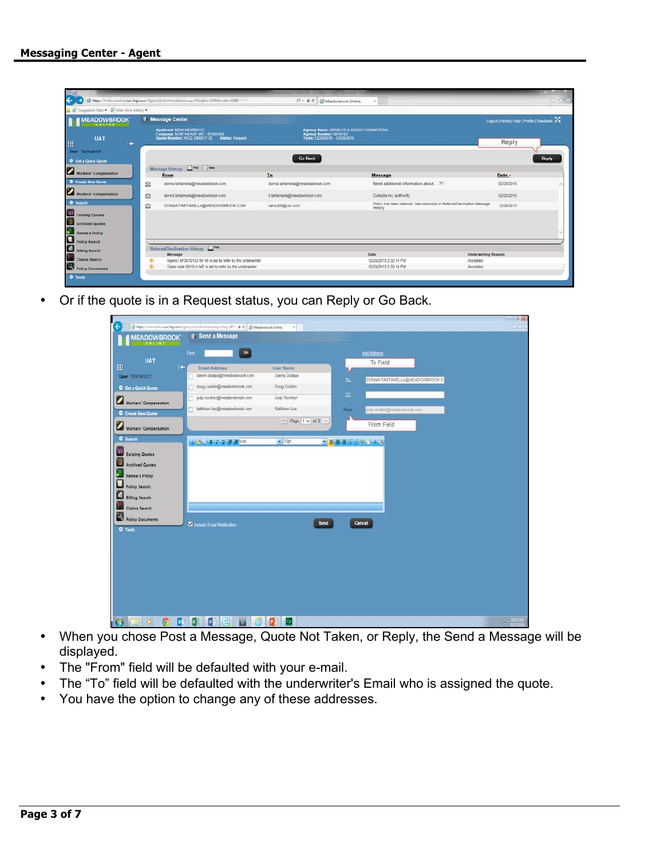| https://mdwurtalws.csc-fsg.com/AgencyLink/Menuframe.aspx/Height=10508iwidth=1680<br>$D - \triangle C$ Meadowbrook Online.<br>$\times$<br>Suggested Sites + (2) Web Slice Gallery +<br><b>Message Center</b><br>Logout   Home   Help   Profile   Feedback<br><b>MEADOWBROOK</b><br>ONLIN<br>Applicant: MDW MIG008153<br>Agency Name: KIRKILES & ASSOC COMMERCIAL<br>Company: NORTHEAST WC - STAR INS<br>Agency Number: 0010192<br>Term: 12/20/2015 - 12/20/2016<br><b>UAT</b><br>Quote Number: WCQ 3000517 02 Status: Request<br>Reply<br>m<br>$+$<br>User: TestAgent46<br><b>Go Back</b><br>Reply<br>C Get a Quick Quote<br>Message History <b>Dress</b> Q'Ver<br>Workers' Compensation<br>To<br>From<br>Message<br>Date -<br>Create New Quote<br>Need additional information about 27<br>q<br>donna tartamella@meadowbrook.com<br>donna.tartamella@meadowbrook.com<br>02/29/2016<br>$\sim$<br><b>Workers' Compensation</b><br>a<br>donna.tartamella@meadowbrook.com<br>02/29/2016<br>d.tartamella@meadowbrook.com<br>Outside my authority<br><b>Q</b> Search<br>Policy has been referred. See reason(s) in Referral/Declination Message<br>ė<br>DONNA TARTAMELLA@MEADOWBROOK.COM<br>sarora50@csc.com<br>12/28/2015<br><b>History</b><br><b>Existing Quotes</b><br>Archived Quotes<br>Renew a Policy<br>Policy Search<br>Billing Search<br>Referral/Declination History<br>Date<br><b>Underwriting Reason</b><br>Message<br>Claims Search<br>Agency of 0010192 for 46 is set to refer by the underwriter.<br>12/28/2015 2:30:14 PM<br>Accepted<br>$^{\circ}$<br>Policy Documents<br>Class code 8810 in ME is set to refer by the underwriter.<br>$\Phi$<br>12/28/2015 2:30:14 PM<br>Accepted |  |  |  | $-$ Hey $-$ XX |
|----------------------------------------------------------------------------------------------------------------------------------------------------------------------------------------------------------------------------------------------------------------------------------------------------------------------------------------------------------------------------------------------------------------------------------------------------------------------------------------------------------------------------------------------------------------------------------------------------------------------------------------------------------------------------------------------------------------------------------------------------------------------------------------------------------------------------------------------------------------------------------------------------------------------------------------------------------------------------------------------------------------------------------------------------------------------------------------------------------------------------------------------------------------------------------------------------------------------------------------------------------------------------------------------------------------------------------------------------------------------------------------------------------------------------------------------------------------------------------------------------------------------------------------------------------------------------------------------------------------------------------------------------------------------------------------------|--|--|--|----------------|
|                                                                                                                                                                                                                                                                                                                                                                                                                                                                                                                                                                                                                                                                                                                                                                                                                                                                                                                                                                                                                                                                                                                                                                                                                                                                                                                                                                                                                                                                                                                                                                                                                                                                                              |  |  |  | $A + B$        |
|                                                                                                                                                                                                                                                                                                                                                                                                                                                                                                                                                                                                                                                                                                                                                                                                                                                                                                                                                                                                                                                                                                                                                                                                                                                                                                                                                                                                                                                                                                                                                                                                                                                                                              |  |  |  |                |
|                                                                                                                                                                                                                                                                                                                                                                                                                                                                                                                                                                                                                                                                                                                                                                                                                                                                                                                                                                                                                                                                                                                                                                                                                                                                                                                                                                                                                                                                                                                                                                                                                                                                                              |  |  |  |                |
|                                                                                                                                                                                                                                                                                                                                                                                                                                                                                                                                                                                                                                                                                                                                                                                                                                                                                                                                                                                                                                                                                                                                                                                                                                                                                                                                                                                                                                                                                                                                                                                                                                                                                              |  |  |  |                |
|                                                                                                                                                                                                                                                                                                                                                                                                                                                                                                                                                                                                                                                                                                                                                                                                                                                                                                                                                                                                                                                                                                                                                                                                                                                                                                                                                                                                                                                                                                                                                                                                                                                                                              |  |  |  |                |
|                                                                                                                                                                                                                                                                                                                                                                                                                                                                                                                                                                                                                                                                                                                                                                                                                                                                                                                                                                                                                                                                                                                                                                                                                                                                                                                                                                                                                                                                                                                                                                                                                                                                                              |  |  |  |                |
|                                                                                                                                                                                                                                                                                                                                                                                                                                                                                                                                                                                                                                                                                                                                                                                                                                                                                                                                                                                                                                                                                                                                                                                                                                                                                                                                                                                                                                                                                                                                                                                                                                                                                              |  |  |  |                |
|                                                                                                                                                                                                                                                                                                                                                                                                                                                                                                                                                                                                                                                                                                                                                                                                                                                                                                                                                                                                                                                                                                                                                                                                                                                                                                                                                                                                                                                                                                                                                                                                                                                                                              |  |  |  |                |
|                                                                                                                                                                                                                                                                                                                                                                                                                                                                                                                                                                                                                                                                                                                                                                                                                                                                                                                                                                                                                                                                                                                                                                                                                                                                                                                                                                                                                                                                                                                                                                                                                                                                                              |  |  |  |                |
|                                                                                                                                                                                                                                                                                                                                                                                                                                                                                                                                                                                                                                                                                                                                                                                                                                                                                                                                                                                                                                                                                                                                                                                                                                                                                                                                                                                                                                                                                                                                                                                                                                                                                              |  |  |  |                |
|                                                                                                                                                                                                                                                                                                                                                                                                                                                                                                                                                                                                                                                                                                                                                                                                                                                                                                                                                                                                                                                                                                                                                                                                                                                                                                                                                                                                                                                                                                                                                                                                                                                                                              |  |  |  |                |
|                                                                                                                                                                                                                                                                                                                                                                                                                                                                                                                                                                                                                                                                                                                                                                                                                                                                                                                                                                                                                                                                                                                                                                                                                                                                                                                                                                                                                                                                                                                                                                                                                                                                                              |  |  |  |                |
|                                                                                                                                                                                                                                                                                                                                                                                                                                                                                                                                                                                                                                                                                                                                                                                                                                                                                                                                                                                                                                                                                                                                                                                                                                                                                                                                                                                                                                                                                                                                                                                                                                                                                              |  |  |  |                |

• Or if the quote is in a Request status, you can Reply or Go Back.

| <b>MEADOWBROOK</b><br>ONLINE                               | Send a Message                             |                           |             |                                |  |
|------------------------------------------------------------|--------------------------------------------|---------------------------|-------------|--------------------------------|--|
|                                                            | ×<br>Find                                  |                           |             | <b>Add Address</b>             |  |
| <b>UAT</b>                                                 | $\left  \right. +$<br><b>Email Address</b> | <b>User Name</b>          |             | To Field                       |  |
| <b>User: TESTAGTCT</b>                                     | daniel dulapa@meadowbrook.com<br>п         | Danny Dulapa              | Ia.         | DONNA TARTAMELLA@MEADOWBROOK.C |  |
| <b>O</b> Get a Quick Quote                                 | doug cubbin@meadowbrook.com                | Doug Cubbin               |             |                                |  |
|                                                            | judy.reckker@meadowbrook.com               | Judy Reckker              | CC.         |                                |  |
| Workers' Compensation                                      | kathleen.lee@meadowbrook.com               | Kathleen Lee              | From        | judy reckker@meadowbrook.com   |  |
| Create New Quote                                           |                                            | <<   Page   1 v   of 2 >> |             |                                |  |
| Workers' Compensation                                      |                                            |                           |             | From Field                     |  |
| <b>O</b> Search                                            | ※ 読 D B Z U 课 课 Vial                       | $-10pt$                   | ■■■■田田良宝 入り |                                |  |
|                                                            |                                            |                           |             |                                |  |
| Existing Quotes                                            |                                            |                           |             |                                |  |
| <b>Archived Quotes</b>                                     |                                            |                           |             |                                |  |
|                                                            |                                            |                           |             |                                |  |
| Renew a Policy                                             |                                            |                           |             |                                |  |
| Policy Search                                              |                                            |                           |             |                                |  |
|                                                            |                                            |                           |             |                                |  |
|                                                            |                                            |                           |             |                                |  |
|                                                            |                                            |                           |             |                                |  |
|                                                            |                                            |                           |             |                                |  |
|                                                            |                                            |                           |             |                                |  |
| <b>Billing Search</b><br>Claims Search<br>Policy Documents | V Include Email Notification               | <b>Send</b>               |             | Cancel                         |  |
| O Tools                                                    |                                            |                           |             |                                |  |
|                                                            |                                            |                           |             |                                |  |
|                                                            |                                            |                           |             |                                |  |
|                                                            |                                            |                           |             |                                |  |
|                                                            |                                            |                           |             |                                |  |
|                                                            |                                            |                           |             |                                |  |
|                                                            |                                            |                           |             |                                |  |
|                                                            |                                            |                           |             |                                |  |
|                                                            |                                            |                           |             |                                |  |
|                                                            |                                            |                           |             |                                |  |
|                                                            |                                            |                           |             |                                |  |

- When you chose Post a Message, Quote Not Taken, or Reply, the Send a Message will be displayed.
- The "From" field will be defaulted with your e-mail.
- The "To" field will be defaulted with the underwriter's Email who is assigned the quote.
- You have the option to change any of these addresses.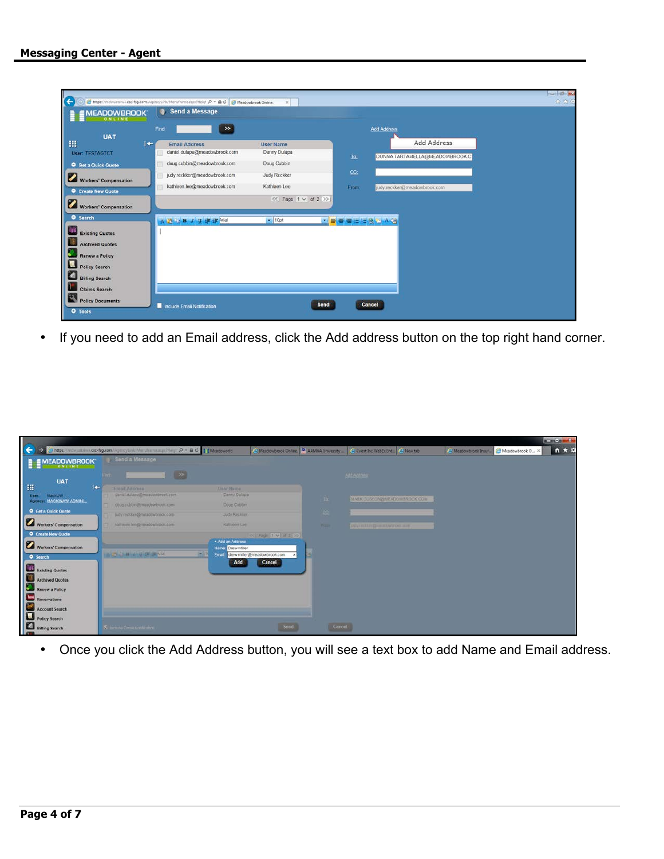| <b>MEADOWBROOK</b><br>ONLINE | Send a Message                |                                    |           |                                |  |
|------------------------------|-------------------------------|------------------------------------|-----------|--------------------------------|--|
| <b>UAT</b>                   | $\gg$<br>Find                 |                                    |           | <b>Add Address</b>             |  |
| Ш<br>I÷                      | <b>Email Address</b>          | <b>User Name</b>                   |           | Add Address                    |  |
| User: TESTAGTCT              | daniel.dulapa@meadowbrook.com | Danny Dulapa                       | To:       | DONNA TARTAMELLA@MEADOWBROOK.C |  |
| <b>O</b> Get a Quick Quote   | doug.cubbin@meadowbrook.com   | Doug Cubbin                        |           |                                |  |
| Workers' Compensation        | judy.reckker@meadowbrook.com  | <b>Judy Reckker</b>                | CC:       |                                |  |
| Create New Quote             | kathleen.lee@meadowbrook.com  | Kathleen Lee                       | From:     | judy.reckker@meadowbrook.com   |  |
| Workers' Compensation        |                               | $\ll$ ) Page 1 $\vee$ of 2 $\gg$ ) |           |                                |  |
| <b>O</b> Search              | △ 选上> B / U 读读 Nial           | $\bullet$ 10pt                     | ■著書日目録■Aの |                                |  |
|                              |                               |                                    |           |                                |  |
| <b>Existing Quotes</b><br>僵  |                               |                                    |           |                                |  |
| <b>Archived Quotes</b>       |                               |                                    |           |                                |  |
| <b>Renew a Policy</b>        |                               |                                    |           |                                |  |
| Policy Search                |                               |                                    |           |                                |  |
| a<br><b>Billing Search</b>   |                               |                                    |           |                                |  |
| <b>Claims Search</b>         |                               |                                    |           |                                |  |
|                              |                               |                                    |           |                                |  |

• If you need to add an Email address, click the Add address button on the top right hand corner.

|                                             |                                                                                              |                                                        |                                    |                                       |                                                  |                       |                 | <b>SCHOOL SECTION</b> |
|---------------------------------------------|----------------------------------------------------------------------------------------------|--------------------------------------------------------|------------------------------------|---------------------------------------|--------------------------------------------------|-----------------------|-----------------|-----------------------|
| ←                                           | C https://mdwustahua.csc-fsg.com/AgencyLink/Memdrama.nuniHergi $\beta$ - A C   1'EMeadoworld |                                                        |                                    | Meadowbrook Online 4 AAMGA University | C Cvent Inc WebEx Ent @ New tab                  | C. Meadowbrook Insur. | Meadowbrook O X | n ★ 0                 |
| <b>MEADOWBROOK</b><br>ONLINI                | Send a Message                                                                               |                                                        |                                    |                                       |                                                  |                       |                 |                       |
| <b>UAT</b><br>拙<br>$+$                      | <b>Kings</b>                                                                                 | <b>BEE</b>                                             |                                    |                                       | cotoannes                                        |                       |                 |                       |
| MackUW.<br>User:<br>Agency: MACKINAW ADMINI | <b>Email Aitomna</b><br>daniel dulapa@meadowbrook.com<br>doug cubbin@meadowthrook.com        | <b>DAAr Nume</b><br>Danny Dulape<br><b>Doug Cubbin</b> |                                    | $-10$                                 | MARK CUSSON/WEADOWERDOK COM                      |                       |                 |                       |
| <b>O</b> Get a Quick Quote                  | judy reckker@moadowtrook.com                                                                 | Judy Recklare                                          |                                    | 166                                   |                                                  |                       |                 |                       |
| Workers' Compensation<br>O Create New Quote | kattueen lengtemaaloadation.com                                                              | Kathleen Live                                          | ※   Page   1 V   of 2 (2)          | <b>Western</b>                        | <b>WWW. THE REPORT OF A REAL PROPERTY AND IN</b> |                       |                 |                       |
| Workers' Compensation<br>Search             | <b>WARD AND ARRAIGNMENT</b>                                                                  | . Add an Address<br>Name: Drew Miller<br><b>PART</b>   | Enable drew miller@meadowbrook.com |                                       |                                                  |                       |                 |                       |
| Existing Quotes<br>Archived Quotes          |                                                                                              | Add                                                    | Cancel                             |                                       |                                                  |                       |                 |                       |
| Renew a Policy                              |                                                                                              |                                                        |                                    |                                       |                                                  |                       |                 |                       |
| Reservations<br>Account Search              |                                                                                              |                                                        |                                    |                                       |                                                  |                       |                 |                       |
| Policy Search<br><b>Billing Search</b>      | N include citizen Manhemmer                                                                  |                                                        | Sond                               | Cancel                                |                                                  |                       |                 |                       |

• Once you click the Add Address button, you will see a text box to add Name and Email address.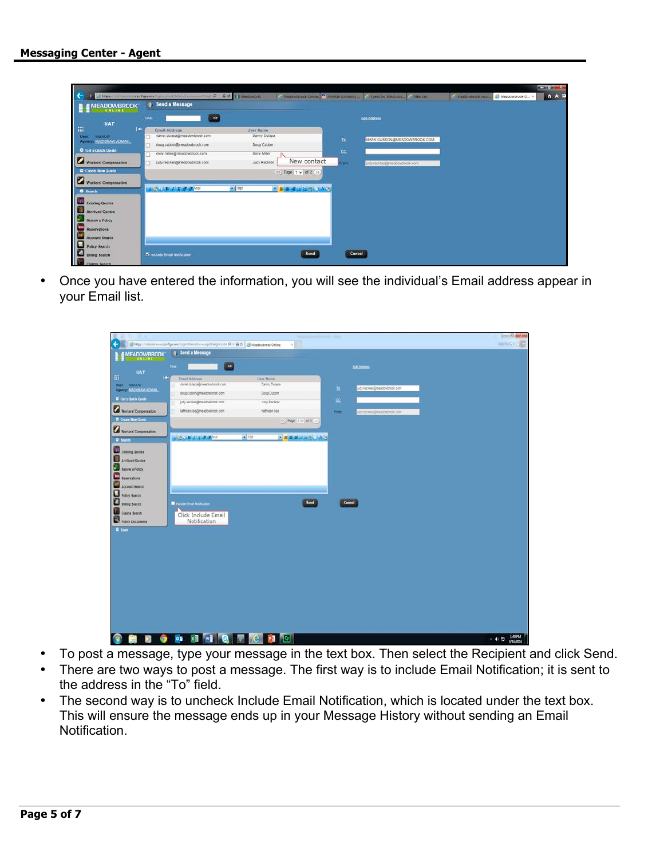|                                                                    |      |                                                                                                                   |                                          |                                                        |           |                                |                                         | $x = 0$ $x = 1$ |
|--------------------------------------------------------------------|------|-------------------------------------------------------------------------------------------------------------------|------------------------------------------|--------------------------------------------------------|-----------|--------------------------------|-----------------------------------------|-----------------|
| ←<br><b>MEADOWBROOK</b>                                            |      | https://mdwomalika.csc-fsg.com/AgmicyCink/Memihams.aspx?rleg  D = B C         Meadoworld<br><b>Send a Message</b> |                                          | C Meadoutirook Online. <sup>[2]</sup> AAMDA University |           | Covert for Webfactor Chies cab | A Meadowbrook Insur B Meadowbrook O., X | <b>  ↑ ★ ☆</b>  |
| <b>UAT</b>                                                         | Find | $\infty$                                                                                                          |                                          |                                                        |           | Add Address                    |                                         |                 |
| 指<br>œ<br><b>MACKER</b><br><b>User:</b><br>Agency: MACKINAW ADMINI | о    | <b>Email Address</b><br>daniel.dulapa@meadowbrook.com<br>doug cubbin@meadowbrook.com                              | User Name<br>Danny Dulapa<br>Doug Cubbin |                                                        | In        | MARK CUSSON@MEADOWBROOK COM    |                                         |                 |
| O Get a Quick Quota<br>Workers' Compensation                       |      | drew.miler@meadowbrook.com<br>judy.reckker@meadowbrook.com                                                        | Drew Miller<br>Judy Reckker              | New contact                                            | CC.<br>m. | judy.reckker@meadowbrook.com   |                                         |                 |
| <b>O</b> Create New Quote<br><b>Workers' Compensation</b>          |      |                                                                                                                   |                                          | <<   Page   1 \ of 2 >>                                |           |                                |                                         |                 |
| <b>O</b> Search                                                    |      | <b>WE ARE A REAL PROPERTY OF A REAL PROPERTY</b>                                                                  | $-1000$                                  | ■■■■田田見古人の                                             |           |                                |                                         |                 |
| <b>Existing Quotes</b><br>Archived Quotes                          |      |                                                                                                                   |                                          |                                                        |           |                                |                                         |                 |
| Renew a Policy<br>Reservations                                     |      |                                                                                                                   |                                          |                                                        |           |                                |                                         |                 |
| Account Search<br>Policy Search                                    |      |                                                                                                                   |                                          |                                                        |           |                                |                                         |                 |
| <b>D</b> Diffing Search<br>$\blacksquare$                          |      | M Include Email Notification                                                                                      |                                          | Send                                                   | Cancel    |                                |                                         |                 |

• Once you have entered the information, you will see the individual's Email address appear in your Email list.

|                                 |                                                                                                                 | x                                |                                       | $= 0 - 1$          |
|---------------------------------|-----------------------------------------------------------------------------------------------------------------|----------------------------------|---------------------------------------|--------------------|
| €<br><b>MEADOWBROOK</b>         | https://indiviation.csc-fsg.com/Login/Mendrame.xspi?rteghts104 .D = B O B Meadowbrook Online.<br>Send a Message |                                  |                                       | $-020$             |
| <b>DNEINE</b>                   | $\blacksquare$<br>Find:                                                                                         |                                  | <b>501500000</b>                      |                    |
| <b>UAT</b><br>曲                 |                                                                                                                 |                                  |                                       |                    |
| I÷.<br>User:<br>MackUN          | <b>Email Address</b><br>daniel dulapa@meadowbrook.com                                                           | <b>User Name</b><br>Danny Dulapa |                                       |                    |
| <b>ASSES MACKINAN ADMIN.</b>    | doug cubbin@meadowbrook.com                                                                                     | Doug Cubbin                      | sidy.recktor@meadowbrook.com<br>Is.   |                    |
| C Get a Quick Quote             | judy reckker@meadowbrook.com                                                                                    | Judy Reckker                     | œ                                     |                    |
| Workers' Compensation           | kathleen.lee@meadowbrook.com                                                                                    | Kathleen Lee                     | judy reckken@missbowbrook.com<br>From |                    |
| <b>O</b> Create New Quote       |                                                                                                                 |                                  |                                       |                    |
| <b>Workers' Compensation</b>    |                                                                                                                 |                                  |                                       |                    |
| <b>O</b> Search                 | ※ 第2章 2 章 第34章                                                                                                  | $+ 10pt$<br>■ ■ ■ ■ 国田島 ■ 本の     |                                       |                    |
| Existing Quotes                 |                                                                                                                 |                                  |                                       |                    |
| Archived Quotes                 |                                                                                                                 |                                  |                                       |                    |
| Renew a Policy                  |                                                                                                                 |                                  |                                       |                    |
| Reservations                    |                                                                                                                 |                                  |                                       |                    |
| <b>Account Search</b>           |                                                                                                                 |                                  |                                       |                    |
| Policy Search                   |                                                                                                                 |                                  |                                       |                    |
| <b>D</b> Billing Search         | Include Email Notification                                                                                      |                                  | Send<br>Cancel                        |                    |
| Claims Search                   | Click Include Email                                                                                             |                                  |                                       |                    |
| Policy Documents                | Notification                                                                                                    |                                  |                                       |                    |
| <b>O</b> Tools                  |                                                                                                                 |                                  |                                       |                    |
|                                 |                                                                                                                 |                                  |                                       |                    |
|                                 |                                                                                                                 |                                  |                                       |                    |
|                                 |                                                                                                                 |                                  |                                       |                    |
|                                 |                                                                                                                 |                                  |                                       |                    |
|                                 |                                                                                                                 |                                  |                                       |                    |
|                                 |                                                                                                                 |                                  |                                       |                    |
|                                 |                                                                                                                 |                                  |                                       |                    |
|                                 |                                                                                                                 |                                  |                                       |                    |
|                                 |                                                                                                                 |                                  |                                       |                    |
|                                 |                                                                                                                 |                                  |                                       |                    |
|                                 |                                                                                                                 |                                  |                                       |                    |
| G<br>$\bullet$<br>Ø<br>ting and | <b>DE XH WHICH A C PA B</b>                                                                                     |                                  |                                       | $-41.73$ $+30.794$ |

- To post a message, type your message in the text box. Then select the Recipient and click Send.
- There are two ways to post a message. The first way is to include Email Notification; it is sent to the address in the "To" field.
- The second way is to uncheck Include Email Notification, which is located under the text box. This will ensure the message ends up in your Message History without sending an Email Notification.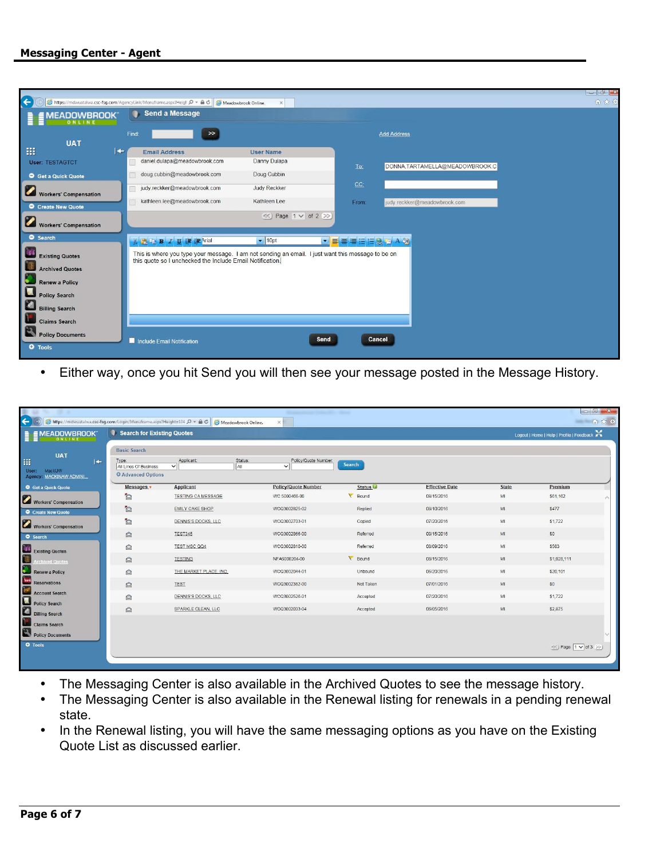## **Messaging Center - Agent**

| $\left  \leftarrow \right\rangle$                 | https://mdwuatalwa.csc-fsg.com/AgencyLink/Menuframe.aspx?Heigl $\mathcal{Q}$ v $\mathbf{a}$ d $\mathbf{c}$ Meadowbrook Online.                                 | $\mathbb X$                    |                 | $\begin{array}{c c c c c} \hline \multicolumn{3}{c }{\mathbb{C}} & \multicolumn{3}{c }{\mathbb{C}} \end{array} \begin{array}{c c c c} \multicolumn{3}{c }{\mathbb{C}} & \multicolumn{3}{c }{\mathbb{C}} \end{array} \begin{array}{c c c c} \multicolumn{3}{c }{\mathbb{C}} & \multicolumn{3}{c }{\mathbb{C}} \end{array} \begin{array}{c c c c} \multicolumn{3}{c }{\mathbb{C}} & \multicolumn{3}{c }{\mathbb{C}} \end{array} \begin{array}{c c c $<br>命女德 |
|---------------------------------------------------|----------------------------------------------------------------------------------------------------------------------------------------------------------------|--------------------------------|-----------------|------------------------------------------------------------------------------------------------------------------------------------------------------------------------------------------------------------------------------------------------------------------------------------------------------------------------------------------------------------------------------------------------------------------------------------------------------------|
| <b>MEADOWBROOK</b><br>ONLINE                      | Send a Message                                                                                                                                                 |                                |                 |                                                                                                                                                                                                                                                                                                                                                                                                                                                            |
| <b>UAT</b>                                        | $\rightarrow$<br>Find:                                                                                                                                         |                                |                 | <b>Add Address</b>                                                                                                                                                                                                                                                                                                                                                                                                                                         |
| 排<br>$\left  \right. +$                           | <b>Email Address</b>                                                                                                                                           | <b>User Name</b>               |                 |                                                                                                                                                                                                                                                                                                                                                                                                                                                            |
| <b>User: TESTAGTCT</b>                            | daniel.dulapa@meadowbrook.com                                                                                                                                  | Danny Dulapa                   | To:             | DONNA.TARTAMELLA@MEADOWBROOK.C                                                                                                                                                                                                                                                                                                                                                                                                                             |
| Get a Quick Quote                                 | doug.cubbin@meadowbrook.com                                                                                                                                    | Doug Cubbin                    |                 |                                                                                                                                                                                                                                                                                                                                                                                                                                                            |
| <b>Workers' Compensation</b>                      | judy.reckker@meadowbrook.com                                                                                                                                   | Judy Reckker                   | CC <sub>2</sub> |                                                                                                                                                                                                                                                                                                                                                                                                                                                            |
| Create New Quote                                  | kathleen.lee@meadowbrook.com                                                                                                                                   | Kathleen Lee                   | From:           | judy.reckker@meadowbrook.com                                                                                                                                                                                                                                                                                                                                                                                                                               |
| <b>Workers' Compensation</b>                      |                                                                                                                                                                | $\ll$ Page 1 $\vee$ of 2 $\gg$ |                 |                                                                                                                                                                                                                                                                                                                                                                                                                                                            |
| Search                                            | A 图上 B Z U 建建 Arial                                                                                                                                            | $\bullet$ 10pt                 | · 喜喜着日日息店 A 例   |                                                                                                                                                                                                                                                                                                                                                                                                                                                            |
| <b>Existing Quotes</b>                            | This is where you type your message. I am not sending an email. I just want this message to be on<br>this quote so I unchecked the Include Email Notification. |                                |                 |                                                                                                                                                                                                                                                                                                                                                                                                                                                            |
| L<br><b>Archived Quotes</b>                       |                                                                                                                                                                |                                |                 |                                                                                                                                                                                                                                                                                                                                                                                                                                                            |
| <b>Renew a Policy</b>                             |                                                                                                                                                                |                                |                 |                                                                                                                                                                                                                                                                                                                                                                                                                                                            |
|                                                   |                                                                                                                                                                |                                |                 |                                                                                                                                                                                                                                                                                                                                                                                                                                                            |
| Renew a Policy<br>Policy Search<br>Billing Search |                                                                                                                                                                |                                |                 |                                                                                                                                                                                                                                                                                                                                                                                                                                                            |
| <b>Claims Search</b>                              |                                                                                                                                                                |                                |                 |                                                                                                                                                                                                                                                                                                                                                                                                                                                            |
| Policy Documents                                  |                                                                                                                                                                |                                |                 |                                                                                                                                                                                                                                                                                                                                                                                                                                                            |
| <b>Q</b> Tools                                    | Include Email Notification                                                                                                                                     |                                | Send            | Cancel                                                                                                                                                                                                                                                                                                                                                                                                                                                     |

• Either way, once you hit Send you will then see your message posted in the Message History.

| $\leftarrow$                                                                        |                                                                                    | Attps://mdwuatalwa.csc-fsg.com/Login/Menuframe.aspx?Height=104 P + A C   Attps://mdwuatalwa.csc-fsg.com/Login/Menuframe.aspx?Height=104 P + A C   Attadowbrook Online. | Wanted Street, Soldier Co., Miller<br>$\times$ |                     |                       |              |                                           | 6 * 8 |
|-------------------------------------------------------------------------------------|------------------------------------------------------------------------------------|------------------------------------------------------------------------------------------------------------------------------------------------------------------------|------------------------------------------------|---------------------|-----------------------|--------------|-------------------------------------------|-------|
| <b>EMEADOWBROOK</b><br>ONLINE                                                       | Search for Existing Quotes                                                         |                                                                                                                                                                        |                                                |                     |                       |              | Logout   Home   Help   Profile   Feedback |       |
| <b>UAT</b><br>排<br>$\left  \right. +$<br>MackUW<br>User:<br>Agency: MACKINAW ADMINI | <b>Basic Search</b><br>Type:<br>All Lines Of Business<br><b>O</b> Advanced Options | Applicant:<br>Status:<br>All<br>$\vee$                                                                                                                                 | Policy/Quote Number:<br>$\vee$                 | Search              |                       |              |                                           |       |
| <b>O</b> Get a Quick Quote                                                          | Messages .                                                                         | <b>Applicant</b>                                                                                                                                                       | <b>Policy/Quote Number</b>                     | Status <sup>6</sup> | <b>Effective Date</b> | <b>State</b> | Premium                                   |       |
| Workers' Compensation                                                               | $\triangleright$                                                                   | <b>TESTING CA MESSAGE</b>                                                                                                                                              | WC 5000466-00                                  | V Bound             | 08/15/2016            | M            | \$61,162                                  |       |
| <b>O</b> Create New Quote                                                           | D                                                                                  | <b>EMILY CAKE SHOP</b>                                                                                                                                                 | WCQ3002825-02                                  | Replied             | 08/10/2016            | MI           | \$477                                     |       |
| Workers' Compensation                                                               | a                                                                                  | <b>DENNIS'S DOCKS, LLC</b>                                                                                                                                             | WCQ3002703-01                                  | Copied              | 07/20/2016            | MI           | \$1,722                                   |       |
| <b>O</b> Search                                                                     | $\hat{p}$                                                                          | <b>TEST345</b>                                                                                                                                                         | WCQ3002866-00                                  | Referred            | 08/15/2016            | MI           | \$0                                       |       |
| Existing Quotes                                                                     | ⋒                                                                                  | TEST MSC QQ4                                                                                                                                                           | WCQ3002810-00                                  | Referred            | 08/09/2016            | MI           | \$583                                     |       |
| Ħ<br><b>Archived Quotes</b>                                                         | ◎                                                                                  | <b>TESTING</b>                                                                                                                                                         | NFA6000204-00                                  | V Bound             | 08/15/2016            | MI           | \$1,028,111                               |       |
| ۰.<br>Renew a Policy                                                                | ◙                                                                                  | THE MARKET PLACE, INC.                                                                                                                                                 | WCQ3002044-01                                  | Unbound             | 06/20/2016            | MI           | \$20,101                                  |       |
| Reservations                                                                        | $\circledR$                                                                        | <b>TEST</b>                                                                                                                                                            | WCQ3002382-00                                  | Not Taken           | 07/01/2016            | MI           | \$0                                       |       |
| <b>Account Search</b><br>С                                                          | $\circledR$                                                                        | DENNIS'S DOCKS, LLC                                                                                                                                                    | WCQ3002526-01                                  | Accepted            | 07/20/2016            | MI           | \$1,722                                   |       |
| Policy Search<br>Billing Search                                                     | $\bigcirc$                                                                         | SPARKLE CLEAN, LLC                                                                                                                                                     | WCQ3002033-04                                  | Accepted            | 06/05/2016            | MI           | \$2,875                                   |       |
| <b>Claims Search</b><br>Policy Documents                                            |                                                                                    |                                                                                                                                                                        |                                                |                     |                       |              |                                           |       |
| O Tools                                                                             |                                                                                    |                                                                                                                                                                        |                                                |                     |                       |              | « Page 1 v of 3 >>                        |       |

- The Messaging Center is also available in the Archived Quotes to see the message history.
- The Messaging Center is also available in the Renewal listing for renewals in a pending renewal state.
- In the Renewal listing, you will have the same messaging options as you have on the Existing Quote List as discussed earlier.